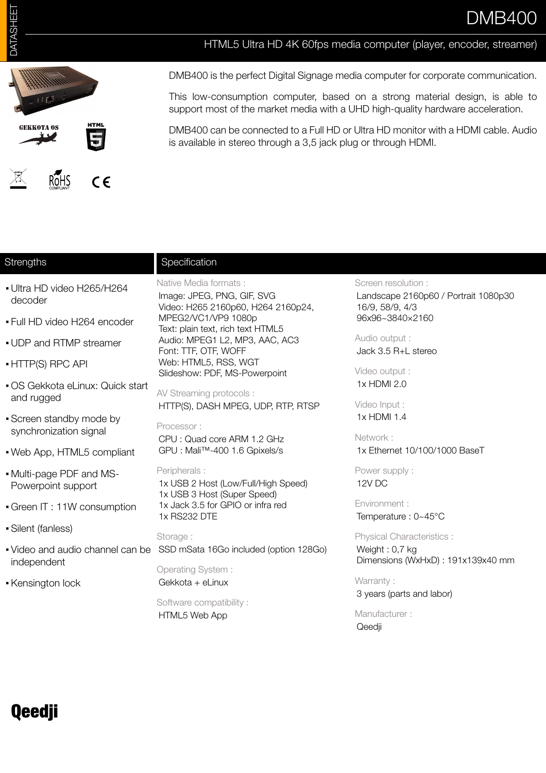

HTML5 Ultra HD 4K 60fps media computer (player, encoder, streamer)

DMB400 is the perfect Digital Signage media computer for corporate communication.

This low-consumption computer, based on a strong material design, is able to support most of the market media with a UHD high-quality hardware acceleration.

DMB400 can be connected to a Full HD or Ultra HD monitor with a HDMI cable. Audio is available in stereo through a 3,5 jack plug or through HDMI.

Qeedji

| Strengths                                          | Specification                                                                       |                                                    |
|----------------------------------------------------|-------------------------------------------------------------------------------------|----------------------------------------------------|
| • Ultra HD video H265/H264                         | Native Media formats :                                                              | Screen resolution :                                |
| decoder                                            | Image: JPEG, PNG, GIF, SVG                                                          | Landscape 2160p60 / Portrait 1080p30               |
| . Full HD video H264 encoder                       | Video: H265 2160p60, H264 2160p24,<br>MPEG2/VC1/VP9 1080p                           | 16/9, 58/9, 4/3<br>96x96~3840×2160                 |
|                                                    | Text: plain text, rich text HTML5                                                   |                                                    |
| • UDP and RTMP streamer                            | Audio: MPEG1 L2, MP3, AAC, AC3<br>Font: TTF, OTF, WOFF                              | Audio output :<br>Jack 3.5 R+L stereo              |
| • HTTP(S) RPC API                                  | Web: HTML5, RSS, WGT                                                                |                                                    |
|                                                    | Slideshow: PDF, MS-Powerpoint                                                       | Video output :                                     |
| • OS Gekkota eLinux: Quick start<br>and rugged     | AV Streaming protocols :                                                            | 1x HDMI 2.0                                        |
|                                                    | HTTP(S), DASH MPEG, UDP, RTP, RTSP                                                  | Video Input:                                       |
| • Screen standby mode by<br>synchronization signal | Processor:                                                                          | 1x HDMI 1.4                                        |
|                                                    | CPU: Quad core ARM 1.2 GHz                                                          | Network:                                           |
| . Web App, HTML5 compliant                         | GPU: Mali™-400 1.6 Gpixels/s                                                        | 1x Ethernet 10/100/1000 BaseT                      |
| • Multi-page PDF and MS-                           | Peripherals :                                                                       | Power supply:                                      |
| Powerpoint support                                 | 1x USB 2 Host (Low/Full/High Speed)                                                 | 12V DC                                             |
|                                                    | 1x USB 3 Host (Super Speed)<br>1x Jack 3.5 for GPIO or infra red                    | Environment :                                      |
| • Green IT: 11W consumption                        | 1x RS232 DTE                                                                        | Temperature: 0~45°C                                |
| • Silent (fanless)                                 |                                                                                     |                                                    |
|                                                    | Storage:<br>• Video and audio channel can be SSD mSata 16Go included (option 128Go) | <b>Physical Characteristics:</b><br>Weight: 0,7 kg |
| independent                                        |                                                                                     | Dimensions (WxHxD): 191x139x40 mm                  |
|                                                    | <b>Operating System:</b>                                                            |                                                    |
| • Kensington lock                                  | Gekkota + eLinux                                                                    | Warranty:<br>3 years (parts and labor)             |
|                                                    | Software compatibility:                                                             |                                                    |
|                                                    | HTML5 Web App                                                                       | Manufacturer:                                      |